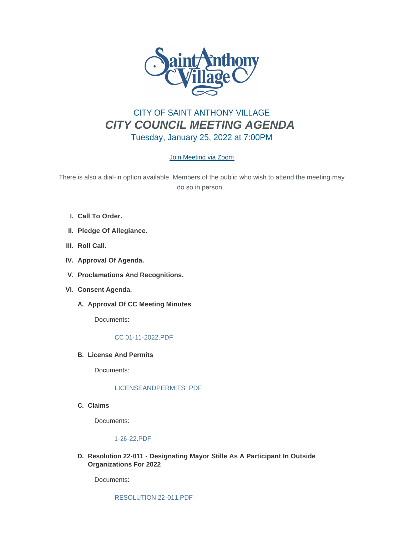

# CITY OF SAINT ANTHONY VILLAGE *CITY COUNCIL MEETING AGENDA* Tuesday, January 25, 2022 at 7:00PM

# [Join Meeting via Zoom](https://www.savmn.com/Calendar.aspx?EID=1565)

There is also a dial-in option available. Members of the public who wish to attend the meeting may do so in person.

- **Call To Order. I.**
- **Pledge Of Allegiance. II.**
- III. Roll Call.
- **Approval Of Agenda. IV.**
- **Proclamations And Recognitions. V.**
- **Consent Agenda. VI.**
	- A. Approval Of CC Meeting Minutes

Documents:

# [CC 01-11-2022.PDF](http://www.savmn.com/AgendaCenter/ViewFile/Item/615?fileID=6527)

**License And Permits B.**

Documents:

# [LICENSEANDPERMITS .PDF](http://www.savmn.com/AgendaCenter/ViewFile/Item/614?fileID=6526)

**Claims C.**

Documents:

# [1-26-22.PDF](http://www.savmn.com/AgendaCenter/ViewFile/Item/617?fileID=6534)

**Resolution 22-011 - Designating Mayor Stille As A Participant In Outside D. Organizations For 2022**

Documents: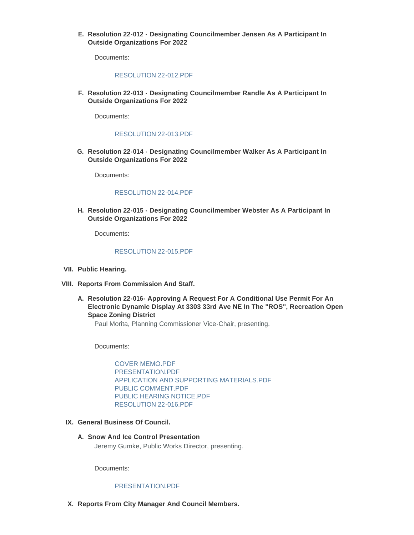**Resolution 22-012 - Designating Councilmember Jensen As A Participant In E. Outside Organizations For 2022**

Documents:

#### [RESOLUTION 22-012.PDF](http://www.savmn.com/AgendaCenter/ViewFile/Item/609?fileID=6530)

**Resolution 22-013 - Designating Councilmember Randle As A Participant In F. Outside Organizations For 2022**

Documents:

# [RESOLUTION 22-013.PDF](http://www.savmn.com/AgendaCenter/ViewFile/Item/610?fileID=6531)

**Resolution 22-014 - Designating Councilmember Walker As A Participant In G. Outside Organizations For 2022**

Documents:

#### [RESOLUTION 22-014.PDF](http://www.savmn.com/AgendaCenter/ViewFile/Item/611?fileID=6532)

**Resolution 22-015 - Designating Councilmember Webster As A Participant In H. Outside Organizations For 2022**

Documents:

#### [RESOLUTION 22-015.PDF](http://www.savmn.com/AgendaCenter/ViewFile/Item/612?fileID=6533)

- **Public Hearing. VII.**
- **Reports From Commission And Staff. VIII.**
	- **Resolution 22-016- Approving A Request For A Conditional Use Permit For An A. Electronic Dynamic Display At 3303 33rd Ave NE In The "ROS", Recreation Open Space Zoning District**

Paul Morita, Planning Commissioner Vice-Chair, presenting.

Documents:

[COVER MEMO.PDF](http://www.savmn.com/AgendaCenter/ViewFile/Item/619?fileID=6545) [PRESENTATION.PDF](http://www.savmn.com/AgendaCenter/ViewFile/Item/619?fileID=6540) [APPLICATION AND SUPPORTING MATERIALS.PDF](http://www.savmn.com/AgendaCenter/ViewFile/Item/619?fileID=6544) [PUBLIC COMMENT.PDF](http://www.savmn.com/AgendaCenter/ViewFile/Item/619?fileID=6543) [PUBLIC HEARING NOTICE.PDF](http://www.savmn.com/AgendaCenter/ViewFile/Item/619?fileID=6541) [RESOLUTION 22-016.PDF](http://www.savmn.com/AgendaCenter/ViewFile/Item/619?fileID=6542)

#### **General Business Of Council. IX.**

**Snow And Ice Control Presentation A.**

Jeremy Gumke, Public Works Director, presenting.

Documents:

# [PRESENTATION.PDF](http://www.savmn.com/AgendaCenter/ViewFile/Item/618?fileID=6536)

**Reports From City Manager And Council Members. X.**